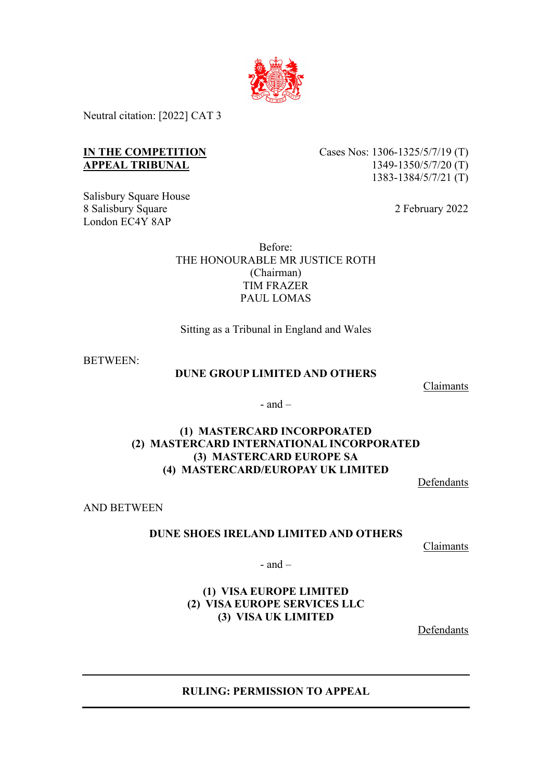

Neutral citation: [2022] CAT 3

# **IN THE COMPETITION APPEAL TRIBUNAL**

Salisbury Square House 8 Salisbury Square London EC4Y 8AP

Cases Nos: 1306-1325/5/7/19 (T) 1349-1350/5/7/20 (T) 1383-1384/5/7/21 (T)

2 February 2022

Before: THE HONOURABLE MR JUSTICE ROTH (Chairman) TIM FRAZER PAUL LOMAS

Sitting as a Tribunal in England and Wales

BETWEEN:

#### **DUNE GROUP LIMITED AND OTHERS**

Claimants

- and  $-$ 

# **(1) MASTERCARD INCORPORATED (2) MASTERCARD INTERNATIONAL INCORPORATED (3) MASTERCARD EUROPE SA (4) MASTERCARD/EUROPAY UK LIMITED**

Defendants

AND BETWEEN

## **DUNE SHOES IRELAND LIMITED AND OTHERS**

Claimants

 $-$  and  $-$ 

# **(1) VISA EUROPE LIMITED (2) VISA EUROPE SERVICES LLC (3) VISA UK LIMITED**

Defendants

**RULING: PERMISSION TO APPEAL**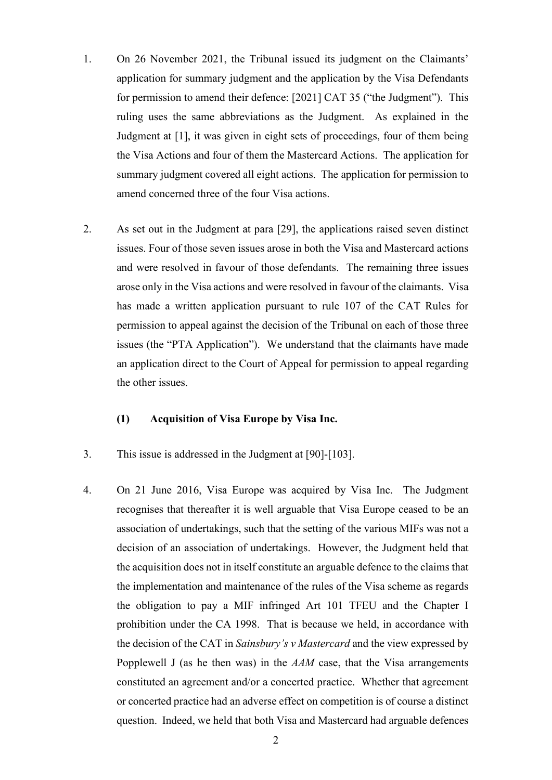- 1. On 26 November 2021, the Tribunal issued its judgment on the Claimants' application for summary judgment and the application by the Visa Defendants for permission to amend their defence: [2021] CAT 35 ("the Judgment"). This ruling uses the same abbreviations as the Judgment. As explained in the Judgment at [1], it was given in eight sets of proceedings, four of them being the Visa Actions and four of them the Mastercard Actions. The application for summary judgment covered all eight actions. The application for permission to amend concerned three of the four Visa actions.
- 2. As set out in the Judgment at para [29], the applications raised seven distinct issues. Four of those seven issues arose in both the Visa and Mastercard actions and were resolved in favour of those defendants. The remaining three issues arose only in the Visa actions and were resolved in favour of the claimants. Visa has made a written application pursuant to rule 107 of the CAT Rules for permission to appeal against the decision of the Tribunal on each of those three issues (the "PTA Application"). We understand that the claimants have made an application direct to the Court of Appeal for permission to appeal regarding the other issues.

#### **(1) Acquisition of Visa Europe by Visa Inc.**

- 3. This issue is addressed in the Judgment at [90]-[103].
- 4. On 21 June 2016, Visa Europe was acquired by Visa Inc. The Judgment recognises that thereafter it is well arguable that Visa Europe ceased to be an association of undertakings, such that the setting of the various MIFs was not a decision of an association of undertakings. However, the Judgment held that the acquisition does not in itself constitute an arguable defence to the claims that the implementation and maintenance of the rules of the Visa scheme as regards the obligation to pay a MIF infringed Art 101 TFEU and the Chapter I prohibition under the CA 1998. That is because we held, in accordance with the decision of the CAT in *Sainsbury's v Mastercard* and the view expressed by Popplewell J (as he then was) in the *AAM* case, that the Visa arrangements constituted an agreement and/or a concerted practice. Whether that agreement or concerted practice had an adverse effect on competition is of course a distinct question. Indeed, we held that both Visa and Mastercard had arguable defences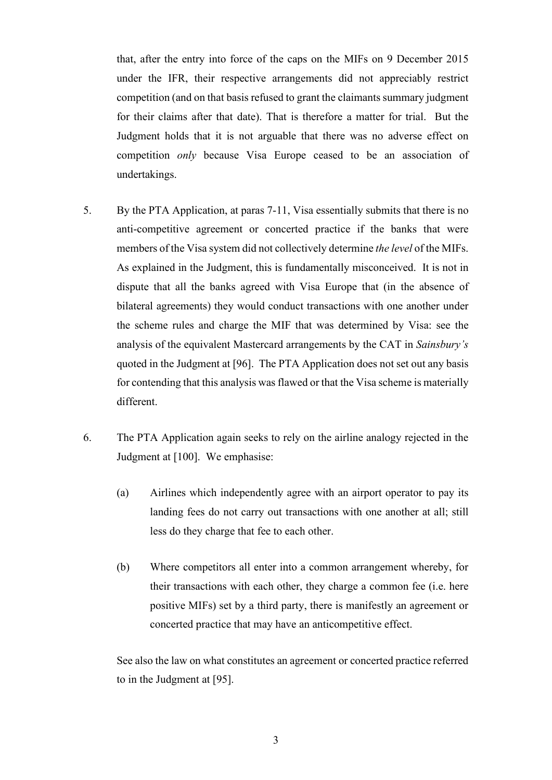that, after the entry into force of the caps on the MIFs on 9 December 2015 under the IFR, their respective arrangements did not appreciably restrict competition (and on that basis refused to grant the claimants summary judgment for their claims after that date). That is therefore a matter for trial. But the Judgment holds that it is not arguable that there was no adverse effect on competition *only* because Visa Europe ceased to be an association of undertakings.

- 5. By the PTA Application, at paras 7-11, Visa essentially submits that there is no anti-competitive agreement or concerted practice if the banks that were members of the Visa system did not collectively determine *the level* of the MIFs. As explained in the Judgment, this is fundamentally misconceived. It is not in dispute that all the banks agreed with Visa Europe that (in the absence of bilateral agreements) they would conduct transactions with one another under the scheme rules and charge the MIF that was determined by Visa: see the analysis of the equivalent Mastercard arrangements by the CAT in *Sainsbury's*  quoted in the Judgment at [96]. The PTA Application does not set out any basis for contending that this analysis was flawed or that the Visa scheme is materially different.
- 6. The PTA Application again seeks to rely on the airline analogy rejected in the Judgment at [100]. We emphasise:
	- (a) Airlines which independently agree with an airport operator to pay its landing fees do not carry out transactions with one another at all; still less do they charge that fee to each other.
	- (b) Where competitors all enter into a common arrangement whereby, for their transactions with each other, they charge a common fee (i.e. here positive MIFs) set by a third party, there is manifestly an agreement or concerted practice that may have an anticompetitive effect.

See also the law on what constitutes an agreement or concerted practice referred to in the Judgment at [95].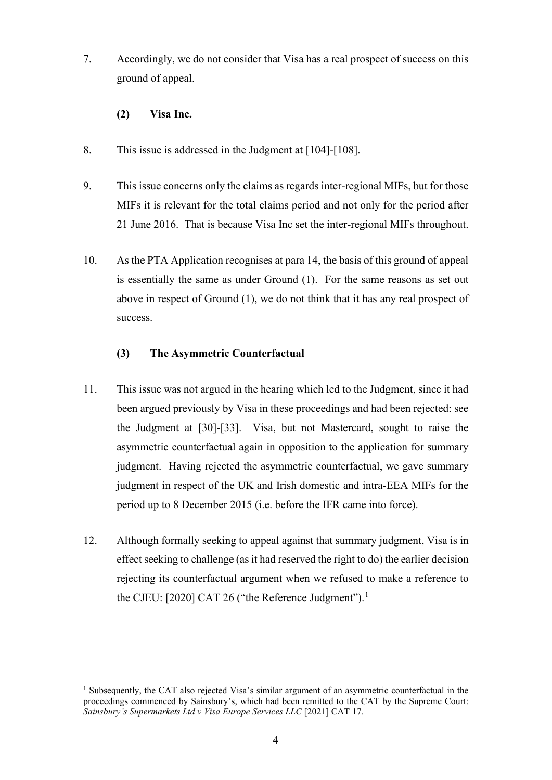- 7. Accordingly, we do not consider that Visa has a real prospect of success on this ground of appeal.
	- **(2) Visa Inc.**
- 8. This issue is addressed in the Judgment at [104]-[108].
- 9. This issue concerns only the claims as regards inter-regional MIFs, but for those MIFs it is relevant for the total claims period and not only for the period after 21 June 2016. That is because Visa Inc set the inter-regional MIFs throughout.
- 10. As the PTA Application recognises at para 14, the basis of this ground of appeal is essentially the same as under Ground (1). For the same reasons as set out above in respect of Ground (1), we do not think that it has any real prospect of success.

## **(3) The Asymmetric Counterfactual**

- 11. This issue was not argued in the hearing which led to the Judgment, since it had been argued previously by Visa in these proceedings and had been rejected: see the Judgment at [30]-[33]. Visa, but not Mastercard, sought to raise the asymmetric counterfactual again in opposition to the application for summary judgment. Having rejected the asymmetric counterfactual, we gave summary judgment in respect of the UK and Irish domestic and intra-EEA MIFs for the period up to 8 December 2015 (i.e. before the IFR came into force).
- 12. Although formally seeking to appeal against that summary judgment, Visa is in effect seeking to challenge (as it had reserved the right to do) the earlier decision rejecting its counterfactual argument when we refused to make a reference to the CJEU: [2020] CAT 26 ("the Reference Judgment").<sup>1</sup>

<sup>&</sup>lt;sup>1</sup> Subsequently, the CAT also rejected Visa's similar argument of an asymmetric counterfactual in the proceedings commenced by Sainsbury's, which had been remitted to the CAT by the Supreme Court: *Sainsbury's Supermarkets Ltd v Visa Europe Services LLC* [2021] CAT 17.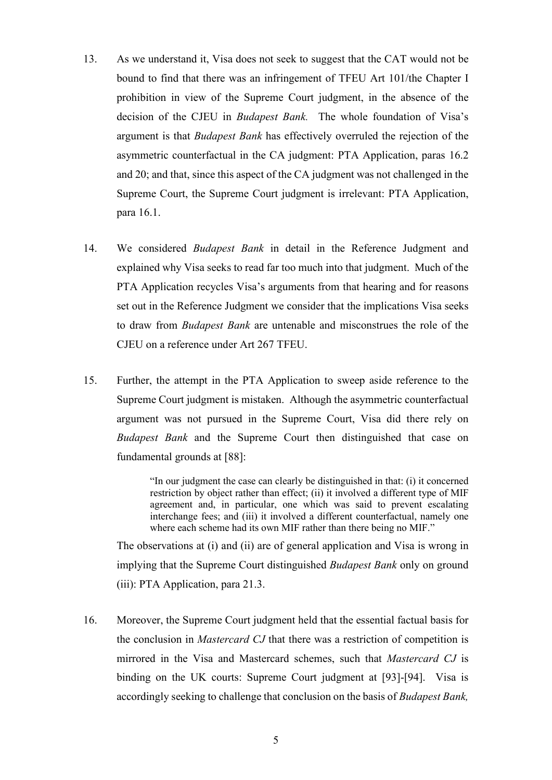- 13. As we understand it, Visa does not seek to suggest that the CAT would not be bound to find that there was an infringement of TFEU Art 101/the Chapter I prohibition in view of the Supreme Court judgment, in the absence of the decision of the CJEU in *Budapest Bank.* The whole foundation of Visa's argument is that *Budapest Bank* has effectively overruled the rejection of the asymmetric counterfactual in the CA judgment: PTA Application, paras 16.2 and 20; and that, since this aspect of the CA judgment was not challenged in the Supreme Court, the Supreme Court judgment is irrelevant: PTA Application, para 16.1.
- 14. We considered *Budapest Bank* in detail in the Reference Judgment and explained why Visa seeks to read far too much into that judgment. Much of the PTA Application recycles Visa's arguments from that hearing and for reasons set out in the Reference Judgment we consider that the implications Visa seeks to draw from *Budapest Bank* are untenable and misconstrues the role of the CJEU on a reference under Art 267 TFEU.
- 15. Further, the attempt in the PTA Application to sweep aside reference to the Supreme Court judgment is mistaken. Although the asymmetric counterfactual argument was not pursued in the Supreme Court, Visa did there rely on *Budapest Bank* and the Supreme Court then distinguished that case on fundamental grounds at [88]:

"In our judgment the case can clearly be distinguished in that: (i) it concerned restriction by object rather than effect; (ii) it involved a different type of MIF agreement and, in particular, one which was said to prevent escalating interchange fees; and (iii) it involved a different counterfactual, namely one where each scheme had its own MIF rather than there being no MIF."

The observations at (i) and (ii) are of general application and Visa is wrong in implying that the Supreme Court distinguished *Budapest Bank* only on ground (iii): PTA Application, para 21.3.

16. Moreover, the Supreme Court judgment held that the essential factual basis for the conclusion in *Mastercard CJ* that there was a restriction of competition is mirrored in the Visa and Mastercard schemes, such that *Mastercard CJ* is binding on the UK courts: Supreme Court judgment at [93]-[94]. Visa is accordingly seeking to challenge that conclusion on the basis of *Budapest Bank,*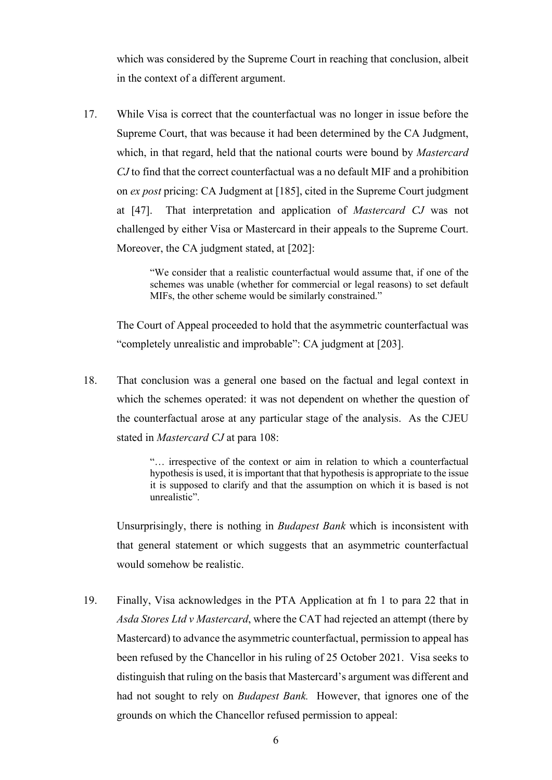which was considered by the Supreme Court in reaching that conclusion, albeit in the context of a different argument.

17. While Visa is correct that the counterfactual was no longer in issue before the Supreme Court, that was because it had been determined by the CA Judgment, which, in that regard, held that the national courts were bound by *Mastercard CJ* to find that the correct counterfactual was a no default MIF and a prohibition on *ex post* pricing: CA Judgment at [185], cited in the Supreme Court judgment at [47]. That interpretation and application of *Mastercard CJ* was not challenged by either Visa or Mastercard in their appeals to the Supreme Court. Moreover, the CA judgment stated, at [202]:

> "We consider that a realistic counterfactual would assume that, if one of the schemes was unable (whether for commercial or legal reasons) to set default MIFs, the other scheme would be similarly constrained."

The Court of Appeal proceeded to hold that the asymmetric counterfactual was "completely unrealistic and improbable": CA judgment at [203].

18. That conclusion was a general one based on the factual and legal context in which the schemes operated: it was not dependent on whether the question of the counterfactual arose at any particular stage of the analysis. As the CJEU stated in *Mastercard CJ* at para 108:

> "… irrespective of the context or aim in relation to which a counterfactual hypothesis is used, it is important that that hypothesis is appropriate to the issue it is supposed to clarify and that the assumption on which it is based is not unrealistic".

Unsurprisingly, there is nothing in *Budapest Bank* which is inconsistent with that general statement or which suggests that an asymmetric counterfactual would somehow be realistic.

19. Finally, Visa acknowledges in the PTA Application at fn 1 to para 22 that in *Asda Stores Ltd v Mastercard*, where the CAT had rejected an attempt (there by Mastercard) to advance the asymmetric counterfactual, permission to appeal has been refused by the Chancellor in his ruling of 25 October 2021. Visa seeks to distinguish that ruling on the basis that Mastercard's argument was different and had not sought to rely on *Budapest Bank.* However, that ignores one of the grounds on which the Chancellor refused permission to appeal: